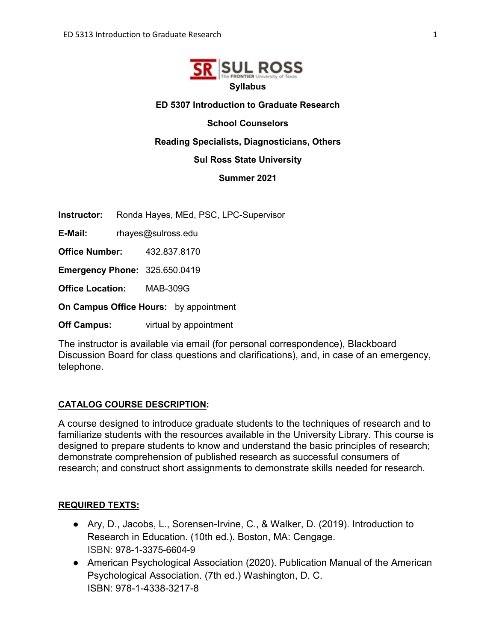

#### **ED 5307 Introduction to Graduate Research**

**School Counselors**

**Reading Specialists, Diagnosticians, Others** 

#### **Sul Ross State University**

**Summer 2021**

**Instructor:** Ronda Hayes, MEd, PSC, LPC-Supervisor

**E-Mail:** rhayes@sulross.edu

**Office Number:** 432.837.8170

**Emergency Phone:** 325.650.0419

**Office Location:** MAB-309G

**On Campus Office Hours:** by appointment

**Off Campus:** virtual by appointment

The instructor is available via email (for personal correspondence), Blackboard Discussion Board for class questions and clarifications), and, in case of an emergency, telephone.

#### **CATALOG COURSE DESCRIPTION:**

A course designed to introduce graduate students to the techniques of research and to familiarize students with the resources available in the University Library. This course is designed to prepare students to know and understand the basic principles of research; demonstrate comprehension of published research as successful consumers of research; and construct short assignments to demonstrate skills needed for research.

#### **REQUIRED TEXTS:**

- Ary, D., Jacobs, L., Sorensen-Irvine, C., & Walker, D. (2019). Introduction to Research in Education. (10th ed.). Boston, MA: Cengage. ISBN: 978-1-3375-6604-9
- American Psychological Association (2020). Publication Manual of the American Psychological Association. (7th ed.) Washington, D. C. ISBN: 978-1-4338-3217-8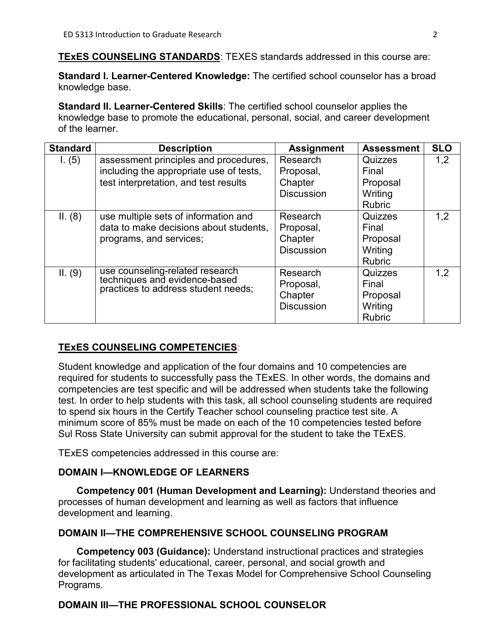**TExES COUNSELING STANDARDS**: TEXES standards addressed in this course are:

**Standard I. Learner-Centered Knowledge:** The certified school counselor has a broad knowledge base.

**Standard II. Learner-Centered Skills**: The certified school counselor applies the knowledge base to promote the educational, personal, social, and career development of the learner.

| <b>Standard</b> | <b>Description</b>                                                   | <b>Assignment</b> | <b>Assessment</b> | <b>SLO</b> |
|-----------------|----------------------------------------------------------------------|-------------------|-------------------|------------|
| I. $(5)$        | assessment principles and procedures,                                | Research          | Quizzes           | 1,2        |
|                 | including the appropriate use of tests,                              | Proposal,         | Final             |            |
|                 | test interpretation, and test results                                | Chapter           | Proposal          |            |
|                 |                                                                      | <b>Discussion</b> | Writing           |            |
|                 |                                                                      |                   | <b>Rubric</b>     |            |
| II. (8)         | use multiple sets of information and                                 | Research          | Quizzes           | 1,2        |
|                 | data to make decisions about students,                               | Proposal,         | Final             |            |
|                 | programs, and services;                                              | Chapter           | Proposal          |            |
|                 |                                                                      | <b>Discussion</b> | Writing           |            |
|                 |                                                                      |                   | <b>Rubric</b>     |            |
| II. (9)         | use counseling-related research                                      | Research          | Quizzes           | 1,2        |
|                 | techniques and evidence-based<br>practices to address student needs; | Proposal,         | Final             |            |
|                 |                                                                      | Chapter           | Proposal          |            |
|                 |                                                                      | <b>Discussion</b> | Writing           |            |
|                 |                                                                      |                   | <b>Rubric</b>     |            |

## **TExES COUNSELING COMPETENCIES**:

Student knowledge and application of the four domains and 10 competencies are required for students to successfully pass the TExES. In other words, the domains and competencies are test specific and will be addressed when students take the following test. In order to help students with this task, all school counseling students are required to spend six hours in the Certify Teacher school counseling practice test site. A minimum score of 85% must be made on each of the 10 competencies tested before Sul Ross State University can submit approval for the student to take the TExES.

TExES competencies addressed in this course are:

## **DOMAIN I—KNOWLEDGE OF LEARNERS**

**Competency 001 (Human Development and Learning):** Understand theories and processes of human development and learning as well as factors that influence development and learning.

## **DOMAIN II—THE COMPREHENSIVE SCHOOL COUNSELING PROGRAM**

**Competency 003 (Guidance):** Understand instructional practices and strategies for facilitating students' educational, career, personal, and social growth and development as articulated in The Texas Model for Comprehensive School Counseling Programs.

# **DOMAIN III—THE PROFESSIONAL SCHOOL COUNSELOR**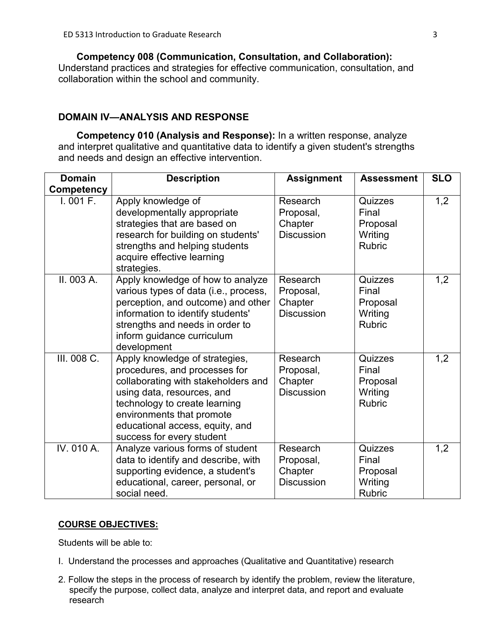**Competency 008 (Communication, Consultation, and Collaboration):**  Understand practices and strategies for effective communication, consultation, and collaboration within the school and community.

## **DOMAIN IV—ANALYSIS AND RESPONSE**

**Competency 010 (Analysis and Response):** In a written response, analyze and interpret qualitative and quantitative data to identify a given student's strengths and needs and design an effective intervention.

| <b>Domain</b>     | <b>Description</b>                                                                                                                                                                                                                                                 | <b>Assignment</b>                                     | <b>Assessment</b>                                        | <b>SLO</b> |
|-------------------|--------------------------------------------------------------------------------------------------------------------------------------------------------------------------------------------------------------------------------------------------------------------|-------------------------------------------------------|----------------------------------------------------------|------------|
| <b>Competency</b> |                                                                                                                                                                                                                                                                    |                                                       |                                                          |            |
| 1.001 F.          | Apply knowledge of<br>developmentally appropriate<br>strategies that are based on<br>research for building on students'<br>strengths and helping students<br>acquire effective learning<br>strategies.                                                             | Research<br>Proposal,<br>Chapter<br><b>Discussion</b> | Quizzes<br>Final<br>Proposal<br>Writing<br><b>Rubric</b> | 1,2        |
| II. 003 A.        | Apply knowledge of how to analyze<br>various types of data (i.e., process,<br>perception, and outcome) and other<br>information to identify students'<br>strengths and needs in order to<br>inform guidance curriculum<br>development                              | Research<br>Proposal,<br>Chapter<br><b>Discussion</b> | Quizzes<br>Final<br>Proposal<br>Writing<br><b>Rubric</b> | 1,2        |
| III. 008 C.       | Apply knowledge of strategies,<br>procedures, and processes for<br>collaborating with stakeholders and<br>using data, resources, and<br>technology to create learning<br>environments that promote<br>educational access, equity, and<br>success for every student | Research<br>Proposal,<br>Chapter<br><b>Discussion</b> | Quizzes<br>Final<br>Proposal<br>Writing<br><b>Rubric</b> | 1,2        |
| IV. 010 A.        | Analyze various forms of student<br>data to identify and describe, with<br>supporting evidence, a student's<br>educational, career, personal, or<br>social need.                                                                                                   | Research<br>Proposal,<br>Chapter<br><b>Discussion</b> | Quizzes<br>Final<br>Proposal<br>Writing<br><b>Rubric</b> | 1,2        |

#### **COURSE OBJECTIVES:**

Students will be able to:

- I. Understand the processes and approaches (Qualitative and Quantitative) research
- 2. Follow the steps in the process of research by identify the problem, review the literature, specify the purpose, collect data, analyze and interpret data, and report and evaluate research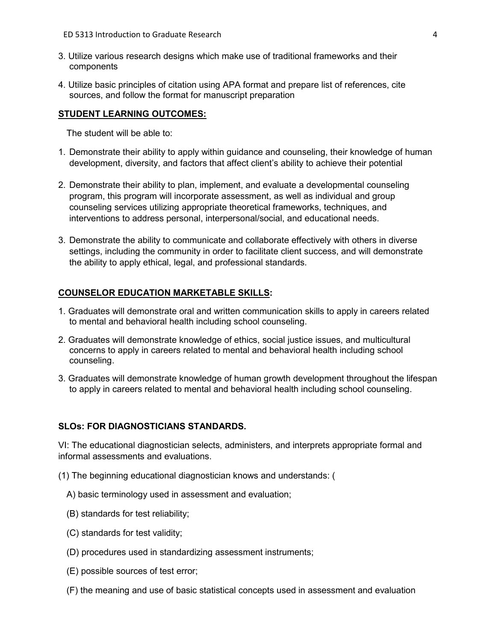- 3. Utilize various research designs which make use of traditional frameworks and their components
- 4. Utilize basic principles of citation using APA format and prepare list of references, cite sources, and follow the format for manuscript preparation

#### **STUDENT LEARNING OUTCOMES:**

The student will be able to:

- 1. Demonstrate their ability to apply within guidance and counseling, their knowledge of human development, diversity, and factors that affect client's ability to achieve their potential
- 2. Demonstrate their ability to plan, implement, and evaluate a developmental counseling program, this program will incorporate assessment, as well as individual and group counseling services utilizing appropriate theoretical frameworks, techniques, and interventions to address personal, interpersonal/social, and educational needs.
- 3. Demonstrate the ability to communicate and collaborate effectively with others in diverse settings, including the community in order to facilitate client success, and will demonstrate the ability to apply ethical, legal, and professional standards.

#### **COUNSELOR EDUCATION MARKETABLE SKILLS:**

- 1. Graduates will demonstrate oral and written communication skills to apply in careers related to mental and behavioral health including school counseling.
- 2. Graduates will demonstrate knowledge of ethics, social justice issues, and multicultural concerns to apply in careers related to mental and behavioral health including school counseling.
- 3. Graduates will demonstrate knowledge of human growth development throughout the lifespan to apply in careers related to mental and behavioral health including school counseling.

#### **SLOs: FOR DIAGNOSTICIANS STANDARDS.**

VI: The educational diagnostician selects, administers, and interprets appropriate formal and informal assessments and evaluations.

- (1) The beginning educational diagnostician knows and understands: (
	- A) basic terminology used in assessment and evaluation;
	- (B) standards for test reliability;
	- (C) standards for test validity;
	- (D) procedures used in standardizing assessment instruments;
	- (E) possible sources of test error;
	- (F) the meaning and use of basic statistical concepts used in assessment and evaluation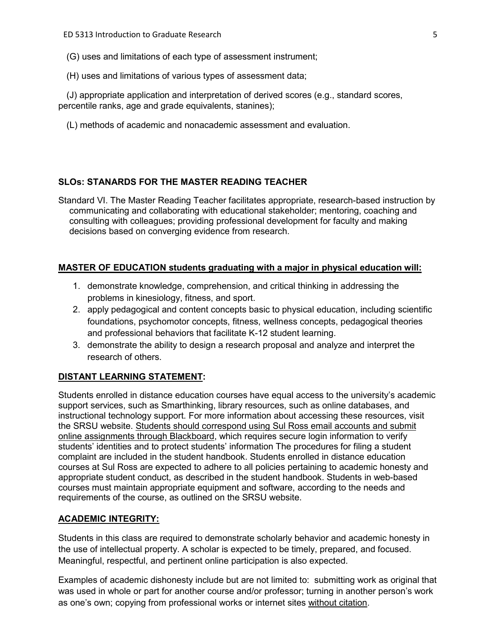- (G) uses and limitations of each type of assessment instrument;
- (H) uses and limitations of various types of assessment data;

(J) appropriate application and interpretation of derived scores (e.g., standard scores, percentile ranks, age and grade equivalents, stanines);

(L) methods of academic and nonacademic assessment and evaluation.

## **SLOs: STANARDS FOR THE MASTER READING TEACHER**

Standard VI. The Master Reading Teacher facilitates appropriate, research-based instruction by communicating and collaborating with educational stakeholder; mentoring, coaching and consulting with colleagues; providing professional development for faculty and making decisions based on converging evidence from research.

#### **MASTER OF EDUCATION students graduating with a major in physical education will:**

- 1. demonstrate knowledge, comprehension, and critical thinking in addressing the problems in kinesiology, fitness, and sport.
- 2. apply pedagogical and content concepts basic to physical education, including scientific foundations, psychomotor concepts, fitness, wellness concepts, pedagogical theories and professional behaviors that facilitate K-12 student learning.
- 3. demonstrate the ability to design a research proposal and analyze and interpret the research of others.

#### **DISTANT LEARNING STATEMENT:**

Students enrolled in distance education courses have equal access to the university's academic support services, such as Smarthinking, library resources, such as online databases, and instructional technology support. For more information about accessing these resources, visit the SRSU website. Students should correspond using Sul Ross email accounts and submit online assignments through Blackboard, which requires secure login information to verify students' identities and to protect students' information The procedures for filing a student complaint are included in the student handbook. Students enrolled in distance education courses at Sul Ross are expected to adhere to all policies pertaining to academic honesty and appropriate student conduct, as described in the student handbook. Students in web-based courses must maintain appropriate equipment and software, according to the needs and requirements of the course, as outlined on the SRSU website.

#### **ACADEMIC INTEGRITY:**

Students in this class are required to demonstrate scholarly behavior and academic honesty in the use of intellectual property. A scholar is expected to be timely, prepared, and focused. Meaningful, respectful, and pertinent online participation is also expected.

Examples of academic dishonesty include but are not limited to: submitting work as original that was used in whole or part for another course and/or professor; turning in another person's work as one's own; copying from professional works or internet sites without citation.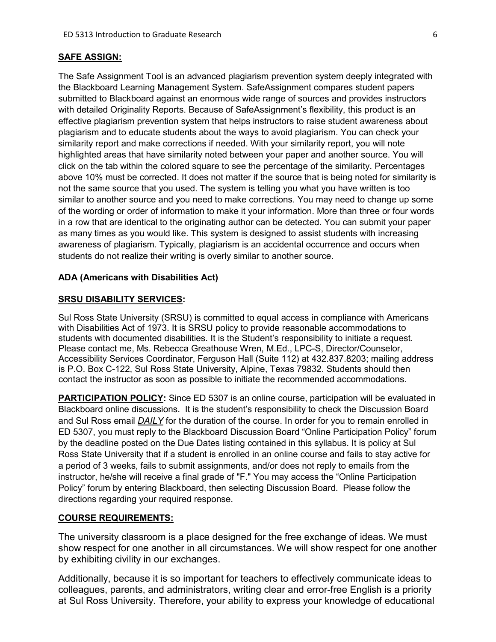#### **SAFE ASSIGN:**

The Safe Assignment Tool is an advanced plagiarism prevention system deeply integrated with the Blackboard Learning Management System. SafeAssignment compares student papers submitted to Blackboard against an enormous wide range of sources and provides instructors with detailed Originality Reports. Because of SafeAssignment's flexibility, this product is an effective plagiarism prevention system that helps instructors to raise student awareness about plagiarism and to educate students about the ways to avoid plagiarism. You can check your similarity report and make corrections if needed. With your similarity report, you will note highlighted areas that have similarity noted between your paper and another source. You will click on the tab within the colored square to see the percentage of the similarity. Percentages above 10% must be corrected. It does not matter if the source that is being noted for similarity is not the same source that you used. The system is telling you what you have written is too similar to another source and you need to make corrections. You may need to change up some of the wording or order of information to make it your information. More than three or four words in a row that are identical to the originating author can be detected. You can submit your paper as many times as you would like. This system is designed to assist students with increasing awareness of plagiarism. Typically, plagiarism is an accidental occurrence and occurs when students do not realize their writing is overly similar to another source.

#### **ADA (Americans with Disabilities Act)**

#### **SRSU DISABILITY SERVICES:**

Sul Ross State University (SRSU) is committed to equal access in compliance with Americans with Disabilities Act of 1973. It is SRSU policy to provide reasonable accommodations to students with documented disabilities. It is the Student's responsibility to initiate a request. Please contact me, Ms. Rebecca Greathouse Wren, M.Ed., LPC-S, Director/Counselor, Accessibility Services Coordinator, Ferguson Hall (Suite 112) at 432.837.8203; mailing address is P.O. Box C-122, Sul Ross State University, Alpine, Texas 79832. Students should then contact the instructor as soon as possible to initiate the recommended accommodations.

**PARTICIPATION POLICY:** Since ED 5307 is an online course, participation will be evaluated in Blackboard online discussions. It is the student's responsibility to check the Discussion Board and Sul Ross email *DAILY* for the duration of the course. In order for you to remain enrolled in ED 5307, you must reply to the Blackboard Discussion Board "Online Participation Policy" forum by the deadline posted on the Due Dates listing contained in this syllabus. It is policy at Sul Ross State University that if a student is enrolled in an online course and fails to stay active for a period of 3 weeks, fails to submit assignments, and/or does not reply to emails from the instructor, he/she will receive a final grade of "F." You may access the "Online Participation Policy" forum by entering Blackboard, then selecting Discussion Board. Please follow the directions regarding your required response.

#### **COURSE REQUIREMENTS:**

The university classroom is a place designed for the free exchange of ideas. We must show respect for one another in all circumstances. We will show respect for one another by exhibiting civility in our exchanges.

Additionally, because it is so important for teachers to effectively communicate ideas to colleagues, parents, and administrators, writing clear and error-free English is a priority at Sul Ross University. Therefore, your ability to express your knowledge of educational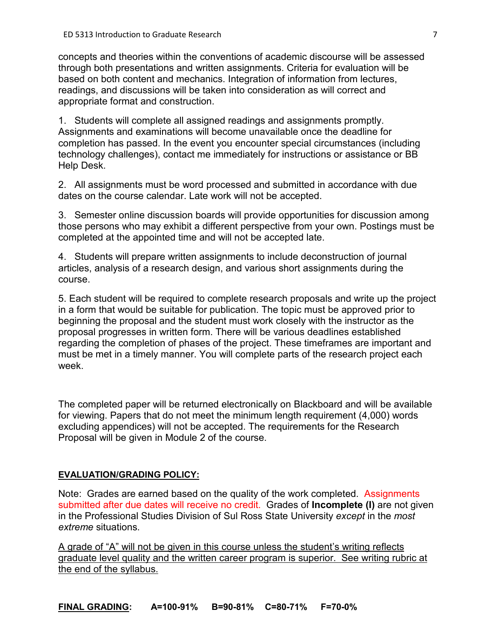concepts and theories within the conventions of academic discourse will be assessed through both presentations and written assignments. Criteria for evaluation will be based on both content and mechanics. Integration of information from lectures, readings, and discussions will be taken into consideration as will correct and appropriate format and construction.

1. Students will complete all assigned readings and assignments promptly. Assignments and examinations will become unavailable once the deadline for completion has passed. In the event you encounter special circumstances (including technology challenges), contact me immediately for instructions or assistance or BB Help Desk.

2. All assignments must be word processed and submitted in accordance with due dates on the course calendar. Late work will not be accepted.

3. Semester online discussion boards will provide opportunities for discussion among those persons who may exhibit a different perspective from your own. Postings must be completed at the appointed time and will not be accepted late.

4. Students will prepare written assignments to include deconstruction of journal articles, analysis of a research design, and various short assignments during the course.

5. Each student will be required to complete research proposals and write up the project in a form that would be suitable for publication. The topic must be approved prior to beginning the proposal and the student must work closely with the instructor as the proposal progresses in written form. There will be various deadlines established regarding the completion of phases of the project. These timeframes are important and must be met in a timely manner. You will complete parts of the research project each week.

The completed paper will be returned electronically on Blackboard and will be available for viewing. Papers that do not meet the minimum length requirement (4,000) words excluding appendices) will not be accepted. The requirements for the Research Proposal will be given in Module 2 of the course.

## **EVALUATION/GRADING POLICY:**

Note: Grades are earned based on the quality of the work completed. Assignments submitted after due dates will receive no credit. Grades of **Incomplete (I)** are not given in the Professional Studies Division of Sul Ross State University *except* in the *most extreme* situations.

A grade of "A" will not be given in this course unless the student's writing reflects graduate level quality and the written career program is superior. See writing rubric at the end of the syllabus.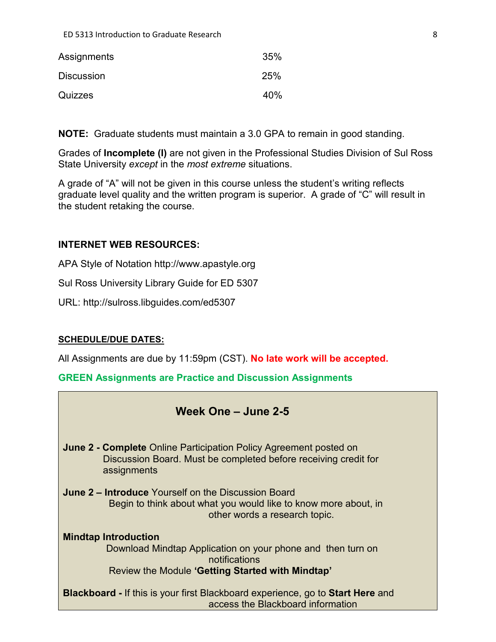| Assignments       | 35% |
|-------------------|-----|
| <b>Discussion</b> | 25% |
| Quizzes           | 40% |

**NOTE:** Graduate students must maintain a 3.0 GPA to remain in good standing.

Grades of **Incomplete (I)** are not given in the Professional Studies Division of Sul Ross State University *except* in the *most extreme* situations.

A grade of "A" will not be given in this course unless the student's writing reflects graduate level quality and the written program is superior. A grade of "C" will result in the student retaking the course.

## **INTERNET WEB RESOURCES:**

APA Style of Notation http://www.apastyle.org

Sul Ross University Library Guide for ED 5307

URL: http://sulross.libguides.com/ed5307

## **SCHEDULE/DUE DATES:**

All Assignments are due by 11:59pm (CST). **No late work will be accepted.** 

**GREEN Assignments are Practice and Discussion Assignments**

# **Week One – June 2-5**

**June 2 - Complete** Online Participation Policy Agreement posted on Discussion Board. Must be completed before receiving credit for assignments

**June 2 – Introduce** Yourself on the Discussion Board Begin to think about what you would like to know more about, in other words a research topic.

**Mindtap Introduction** Download Mindtap Application on your phone and then turn on notifications Review the Module **'Getting Started with Mindtap'**

**Blackboard -** If this is your first Blackboard experience, go to **Start Here** and access the Blackboard information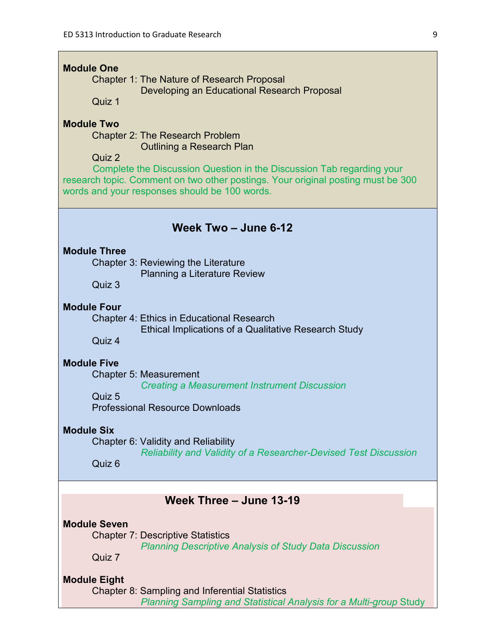| <b>Module One</b><br><b>Chapter 1: The Nature of Research Proposal</b><br>Developing an Educational Research Proposal<br>Quiz 1                                                                            |
|------------------------------------------------------------------------------------------------------------------------------------------------------------------------------------------------------------|
| <b>Module Two</b><br><b>Chapter 2: The Research Problem</b><br><b>Outlining a Research Plan</b><br>Quiz 2                                                                                                  |
| Complete the Discussion Question in the Discussion Tab regarding your<br>research topic. Comment on two other postings. Your original posting must be 300<br>words and your responses should be 100 words. |
| Week Two - June 6-12                                                                                                                                                                                       |
| <b>Module Three</b><br>Chapter 3: Reviewing the Literature<br>Planning a Literature Review<br>Quiz 3                                                                                                       |
| <b>Module Four</b><br><b>Chapter 4: Ethics in Educational Research</b><br><b>Ethical Implications of a Qualitative Research Study</b><br>Quiz 4                                                            |
| <b>Module Five</b><br><b>Chapter 5: Measurement</b><br><b>Creating a Measurement Instrument Discussion</b><br>Quiz 5<br><b>Professional Resource Downloads</b>                                             |
| <b>Module Six</b><br>Chapter 6: Validity and Reliability<br><b>Reliability and Validity of a Researcher-Devised Test Discussion</b><br>Quiz 6                                                              |
| Week Three - June 13-19                                                                                                                                                                                    |
| <b>Module Seven</b><br><b>Chapter 7: Descriptive Statistics</b><br><b>Planning Descriptive Analysis of Study Data Discussion</b><br>Quiz 7                                                                 |
| <b>Module Eight</b><br>Chapter 8: Sampling and Inferential Statistics<br>Planning Sampling and Statistical Analysis for a Multi-group Study                                                                |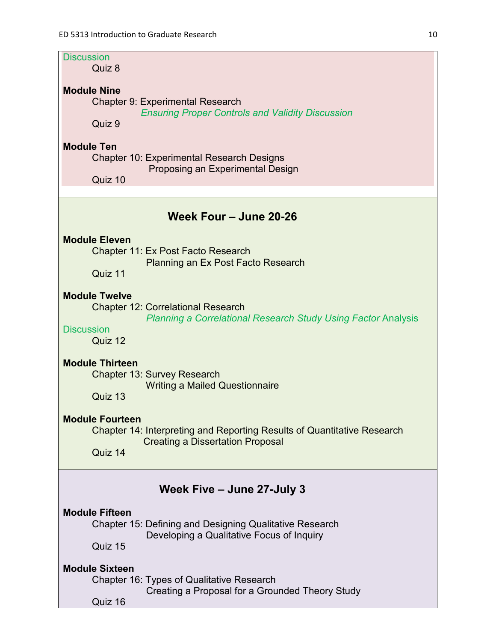| <b>Discussion</b><br>Quiz 8                                                                                                                                               |  |  |  |  |
|---------------------------------------------------------------------------------------------------------------------------------------------------------------------------|--|--|--|--|
| <b>Module Nine</b><br><b>Chapter 9: Experimental Research</b><br><b>Ensuring Proper Controls and Validity Discussion</b><br>Quiz 9                                        |  |  |  |  |
| <b>Module Ten</b><br><b>Chapter 10: Experimental Research Designs</b><br>Proposing an Experimental Design<br>Quiz 10                                                      |  |  |  |  |
| Week Four - June 20-26                                                                                                                                                    |  |  |  |  |
| <b>Module Eleven</b><br>Chapter 11: Ex Post Facto Research<br><b>Planning an Ex Post Facto Research</b><br>Quiz 11                                                        |  |  |  |  |
| <b>Module Twelve</b><br><b>Chapter 12: Correlational Research</b><br><b>Planning a Correlational Research Study Using Factor Analysis</b><br><b>Discussion</b><br>Quiz 12 |  |  |  |  |
| <b>Module Thirteen</b><br><b>Chapter 13: Survey Research</b><br><b>Writing a Mailed Questionnaire</b><br>Quiz 13                                                          |  |  |  |  |
| <b>Module Fourteen</b><br>Chapter 14: Interpreting and Reporting Results of Quantitative Research<br><b>Creating a Dissertation Proposal</b><br>Quiz 14                   |  |  |  |  |
| Week Five - June 27-July 3                                                                                                                                                |  |  |  |  |
| <b>Module Fifteen</b><br><b>Chapter 15: Defining and Designing Qualitative Research</b><br>Developing a Qualitative Focus of Inquiry<br>Quiz 15                           |  |  |  |  |
| <b>Module Sixteen</b><br>Chapter 16: Types of Qualitative Research<br>Creating a Proposal for a Grounded Theory Study<br>Quiz 16                                          |  |  |  |  |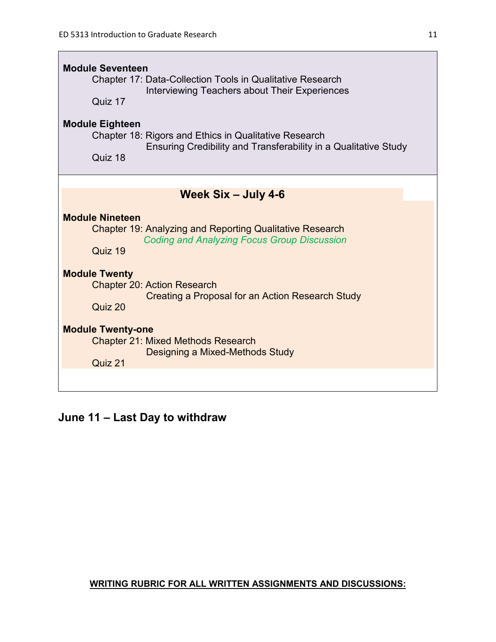$\overline{\phantom{a}}$ 

| <b>Module Seventeen</b><br><b>Chapter 17: Data-Collection Tools in Qualitative Research</b><br>Interviewing Teachers about Their Experiences<br>Quiz 17<br><b>Module Eighteen</b><br>Chapter 18: Rigors and Ethics in Qualitative Research<br>Ensuring Credibility and Transferability in a Qualitative Study<br>Quiz 18 |  |  |  |
|--------------------------------------------------------------------------------------------------------------------------------------------------------------------------------------------------------------------------------------------------------------------------------------------------------------------------|--|--|--|
|                                                                                                                                                                                                                                                                                                                          |  |  |  |
| Week Six - July 4-6                                                                                                                                                                                                                                                                                                      |  |  |  |
| <b>Module Nineteen</b><br><b>Chapter 19: Analyzing and Reporting Qualitative Research</b><br><b>Coding and Analyzing Focus Group Discussion</b><br>Quiz 19                                                                                                                                                               |  |  |  |
| <b>Module Twenty</b><br><b>Chapter 20: Action Research</b><br><b>Creating a Proposal for an Action Research Study</b><br>Quiz 20                                                                                                                                                                                         |  |  |  |
| <b>Module Twenty-one</b><br><b>Chapter 21: Mixed Methods Research</b><br>Designing a Mixed-Methods Study<br>Quiz 21                                                                                                                                                                                                      |  |  |  |
|                                                                                                                                                                                                                                                                                                                          |  |  |  |

# **June 11 – Last Day to withdraw**

## **WRITING RUBRIC FOR ALL WRITTEN ASSIGNMENTS AND DISCUSSIONS:**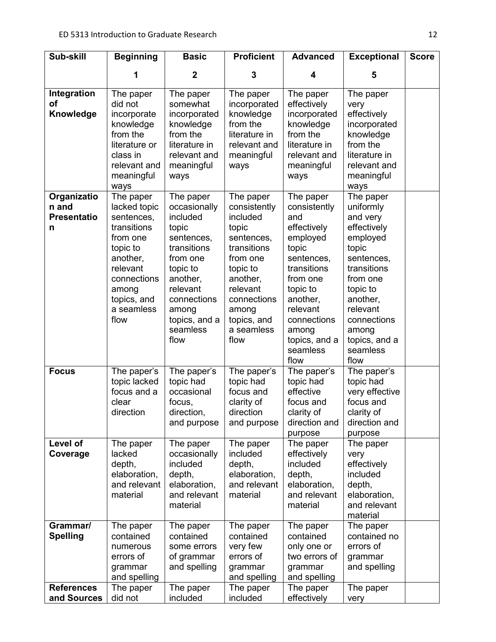| Sub-skill                                        | <b>Beginning</b>                                                                                                                                                    | <b>Basic</b>                                                                                                                                                                             | <b>Proficient</b>                                                                                                                                                                        | <b>Advanced</b>                                                                                                                                                                                                | <b>Exceptional</b>                                                                                                                                                                                               | <b>Score</b> |
|--------------------------------------------------|---------------------------------------------------------------------------------------------------------------------------------------------------------------------|------------------------------------------------------------------------------------------------------------------------------------------------------------------------------------------|------------------------------------------------------------------------------------------------------------------------------------------------------------------------------------------|----------------------------------------------------------------------------------------------------------------------------------------------------------------------------------------------------------------|------------------------------------------------------------------------------------------------------------------------------------------------------------------------------------------------------------------|--------------|
|                                                  | 1                                                                                                                                                                   | $\mathbf 2$                                                                                                                                                                              | 3                                                                                                                                                                                        | 4                                                                                                                                                                                                              | 5                                                                                                                                                                                                                |              |
| Integration<br><b>of</b><br>Knowledge            | The paper<br>did not<br>incorporate<br>knowledge<br>from the<br>literature or<br>class in<br>relevant and<br>meaningful<br>ways                                     | The paper<br>somewhat<br>incorporated<br>knowledge<br>from the<br>literature in<br>relevant and<br>meaningful<br>ways                                                                    | The paper<br>incorporated<br>knowledge<br>from the<br>literature in<br>relevant and<br>meaningful<br>ways                                                                                | The paper<br>effectively<br>incorporated<br>knowledge<br>from the<br>literature in<br>relevant and<br>meaningful<br>ways                                                                                       | The paper<br>very<br>effectively<br>incorporated<br>knowledge<br>from the<br>literature in<br>relevant and<br>meaningful<br>ways                                                                                 |              |
| Organizatio<br>n and<br><b>Presentatio</b><br>n  | The paper<br>lacked topic<br>sentences,<br>transitions<br>from one<br>topic to<br>another,<br>relevant<br>connections<br>among<br>topics, and<br>a seamless<br>flow | The paper<br>occasionally<br>included<br>topic<br>sentences,<br>transitions<br>from one<br>topic to<br>another,<br>relevant<br>connections<br>among<br>topics, and a<br>seamless<br>flow | The paper<br>consistently<br>included<br>topic<br>sentences,<br>transitions<br>from one<br>topic to<br>another,<br>relevant<br>connections<br>among<br>topics, and<br>a seamless<br>flow | The paper<br>consistently<br>and<br>effectively<br>employed<br>topic<br>sentences,<br>transitions<br>from one<br>topic to<br>another,<br>relevant<br>connections<br>among<br>topics, and a<br>seamless<br>flow | The paper<br>uniformly<br>and very<br>effectively<br>employed<br>topic<br>sentences,<br>transitions<br>from one<br>topic to<br>another,<br>relevant<br>connections<br>among<br>topics, and a<br>seamless<br>flow |              |
| <b>Focus</b>                                     | The paper's<br>topic lacked<br>focus and a<br>clear<br>direction                                                                                                    | The paper's<br>topic had<br>occasional<br>focus,<br>direction<br>and purpose                                                                                                             | The paper's<br>topic had<br>focus and<br>clarity of<br>direction<br>and purpose                                                                                                          | The paper's<br>topic had<br>effective<br>focus and<br>clarity of<br>direction and<br>purpose                                                                                                                   | The paper's<br>topic had<br>very effective<br>focus and<br>clarity of<br>direction and<br>purpose                                                                                                                |              |
| Level of<br>Coverage                             | The paper<br>lacked<br>depth,<br>elaboration,<br>and relevant<br>material                                                                                           | The paper<br>occasionally<br>included<br>depth,<br>elaboration,<br>and relevant<br>material                                                                                              | The paper<br>included<br>depth,<br>elaboration,<br>and relevant<br>material                                                                                                              | The paper<br>effectively<br>included<br>depth,<br>elaboration,<br>and relevant<br>material                                                                                                                     | The paper<br>very<br>effectively<br>included<br>depth,<br>elaboration,<br>and relevant<br>material                                                                                                               |              |
| Grammar/<br><b>Spelling</b><br><b>References</b> | The paper<br>contained<br>numerous<br>errors of<br>grammar<br>and spelling<br>The paper                                                                             | The paper<br>contained<br>some errors<br>of grammar<br>and spelling<br>The paper                                                                                                         | The paper<br>contained<br>very few<br>errors of<br>grammar<br>and spelling<br>The paper                                                                                                  | The paper<br>contained<br>only one or<br>two errors of<br>grammar<br>and spelling<br>The paper                                                                                                                 | The paper<br>contained no<br>errors of<br>grammar<br>and spelling<br>The paper                                                                                                                                   |              |
| and Sources                                      | did not                                                                                                                                                             | included                                                                                                                                                                                 | included                                                                                                                                                                                 | effectively                                                                                                                                                                                                    | very                                                                                                                                                                                                             |              |